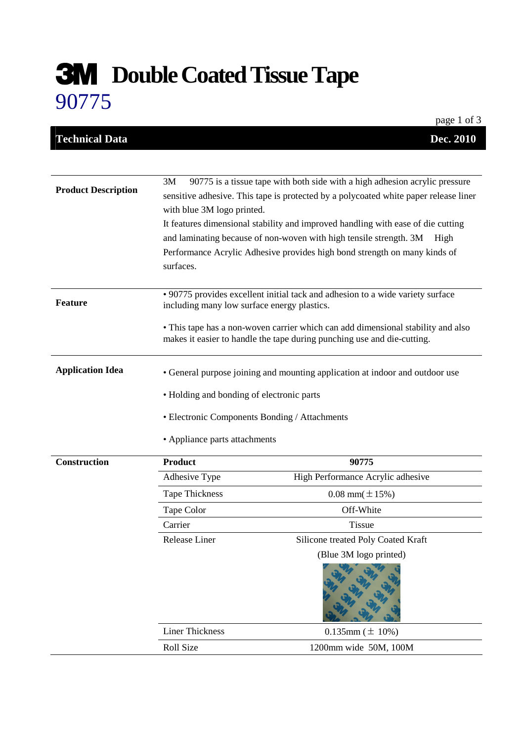## **Double Coated Tissue Tape** 90775

|                            |                                                                                                                                                                                                       | page 1 of 3                                                                                                                                                 |  |
|----------------------------|-------------------------------------------------------------------------------------------------------------------------------------------------------------------------------------------------------|-------------------------------------------------------------------------------------------------------------------------------------------------------------|--|
| <b>Technical Data</b>      |                                                                                                                                                                                                       | Dec. 2010                                                                                                                                                   |  |
|                            |                                                                                                                                                                                                       |                                                                                                                                                             |  |
| <b>Product Description</b> | 3M™ 90775 is a tissue tape with both side with a high adhesion acrylic pressure<br>sensitive adhesive. This tape is protected by a polycoated white paper release liner<br>with blue 3M logo printed. |                                                                                                                                                             |  |
|                            |                                                                                                                                                                                                       | It features dimensional stability and improved handling with ease of die cutting                                                                            |  |
|                            |                                                                                                                                                                                                       | and laminating because of non-woven with high tensile strength. 3M <sup>TM</sup> High                                                                       |  |
|                            | surfaces.                                                                                                                                                                                             | Performance Acrylic Adhesive provides high bond strength on many kinds of                                                                                   |  |
| <b>Feature</b>             | · 90775 provides excellent initial tack and adhesion to a wide variety surface<br>including many low surface energy plastics.                                                                         |                                                                                                                                                             |  |
|                            |                                                                                                                                                                                                       | • This tape has a non-woven carrier which can add dimensional stability and also<br>makes it easier to handle the tape during punching use and die-cutting. |  |
| <b>Application Idea</b>    | • General purpose joining and mounting application at indoor and outdoor use                                                                                                                          |                                                                                                                                                             |  |
|                            | • Holding and bonding of electronic parts                                                                                                                                                             |                                                                                                                                                             |  |
|                            | • Electronic Components Bonding / Attachments                                                                                                                                                         |                                                                                                                                                             |  |
|                            | • Appliance parts attachments                                                                                                                                                                         |                                                                                                                                                             |  |
| <b>Construction</b>        | <b>Product</b>                                                                                                                                                                                        | 90775                                                                                                                                                       |  |
|                            | Adhesive Type                                                                                                                                                                                         | High Performance Acrylic adhesive                                                                                                                           |  |
|                            | Tape Thickness                                                                                                                                                                                        | $0.08$ mm( $\pm 15\%$ )                                                                                                                                     |  |
|                            | Tape Color                                                                                                                                                                                            | Off-White                                                                                                                                                   |  |
|                            | Carrier                                                                                                                                                                                               | Tissue                                                                                                                                                      |  |
|                            | Release Liner                                                                                                                                                                                         | Silicone treated Poly Coated Kraft                                                                                                                          |  |
|                            |                                                                                                                                                                                                       | (Blue 3M logo printed)                                                                                                                                      |  |
|                            |                                                                                                                                                                                                       |                                                                                                                                                             |  |
|                            | <b>Liner Thickness</b>                                                                                                                                                                                | $0.135$ mm ( $\pm 10%$ )                                                                                                                                    |  |
|                            | Roll Size                                                                                                                                                                                             | 1200mm wide 50M, 100M                                                                                                                                       |  |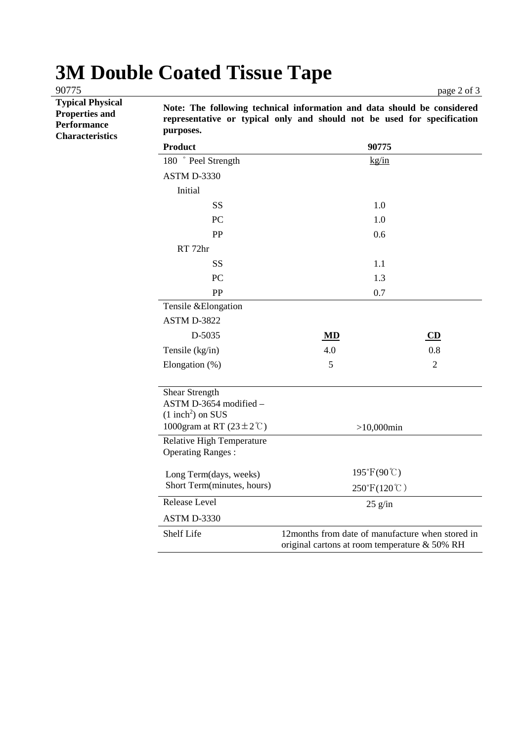## **3M Double Coated Tissue Tape**

**Typical Physical Properties and Performance Characteristics** 

**Note: The following technical information and data should be considered representative or typical only and should not be used for specification purposes.** 

| <b>Product</b>                                                                                                  | 90775                       |                |  |
|-----------------------------------------------------------------------------------------------------------------|-----------------------------|----------------|--|
| 180 ° Peel Strength                                                                                             | $\frac{kg/in}{m}$           |                |  |
| ASTM D-3330                                                                                                     |                             |                |  |
| Initial                                                                                                         |                             |                |  |
| <b>SS</b>                                                                                                       | 1.0                         |                |  |
| PC                                                                                                              | 1.0                         |                |  |
| PP                                                                                                              | 0.6                         |                |  |
| RT 72hr                                                                                                         |                             |                |  |
| <b>SS</b>                                                                                                       | 1.1                         |                |  |
| PC                                                                                                              | 1.3                         |                |  |
| PP                                                                                                              | 0.7                         |                |  |
| Tensile & Elongation                                                                                            |                             |                |  |
| ASTM D-3822                                                                                                     |                             |                |  |
| D-5035                                                                                                          | MD                          | CD             |  |
| Tensile (kg/in)                                                                                                 | 4.0                         | 0.8            |  |
| Elongation (%)                                                                                                  | 5                           | $\overline{2}$ |  |
|                                                                                                                 |                             |                |  |
| Shear Strength<br>ASTM D-3654 modified -                                                                        |                             |                |  |
| $(1$ inch <sup>2</sup> ) on SUS                                                                                 |                             |                |  |
| 1000gram at RT $(23 \pm 2^{\circ} \text{C})$                                                                    | $>10,000$ min               |                |  |
| <b>Relative High Temperature</b>                                                                                |                             |                |  |
| <b>Operating Ranges:</b>                                                                                        |                             |                |  |
| Long Term(days, weeks)                                                                                          | $195^{\circ}F(90^{\circ}C)$ |                |  |
| Short Term(minutes, hours)                                                                                      | 250°F(120℃)                 |                |  |
| Release Level                                                                                                   | $25$ g/in                   |                |  |
| <b>ASTM D-3330</b>                                                                                              |                             |                |  |
| 12months from date of manufacture when stored in<br>Shelf Life<br>original cartons at room temperature & 50% RH |                             |                |  |

90775 page 2 of 3